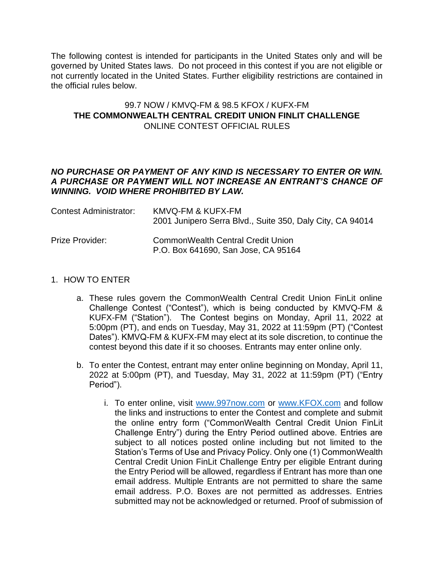The following contest is intended for participants in the United States only and will be governed by United States laws. Do not proceed in this contest if you are not eligible or not currently located in the United States. Further eligibility restrictions are contained in the official rules below.

# 99.7 NOW / KMVQ-FM & 98.5 KFOX / KUFX-FM **THE COMMONWEALTH CENTRAL CREDIT UNION FINLIT CHALLENGE** ONLINE CONTEST OFFICIAL RULES

### *NO PURCHASE OR PAYMENT OF ANY KIND IS NECESSARY TO ENTER OR WIN. A PURCHASE OR PAYMENT WILL NOT INCREASE AN ENTRANT'S CHANCE OF WINNING. VOID WHERE PROHIBITED BY LAW.*

| Contest Administrator: | KMVQ-FM & KUFX-FM<br>2001 Junipero Serra Blvd., Suite 350, Daly City, CA 94014  |
|------------------------|---------------------------------------------------------------------------------|
| Prize Provider:        | <b>CommonWealth Central Credit Union</b><br>P.O. Box 641690, San Jose, CA 95164 |

#### 1. HOW TO ENTER

- a. These rules govern the CommonWealth Central Credit Union FinLit online Challenge Contest ("Contest"), which is being conducted by KMVQ-FM & KUFX-FM ("Station"). The Contest begins on Monday, April 11, 2022 at 5:00pm (PT), and ends on Tuesday, May 31, 2022 at 11:59pm (PT) ("Contest Dates"). KMVQ-FM & KUFX-FM may elect at its sole discretion, to continue the contest beyond this date if it so chooses. Entrants may enter online only.
- b. To enter the Contest, entrant may enter online beginning on Monday, April 11, 2022 at 5:00pm (PT), and Tuesday, May 31, 2022 at 11:59pm (PT) ("Entry Period").
	- i. To enter online, visit [www.997now.com](http://www.997now.com/) or [www.KFOX.com](http://www.kfox.com/) and follow the links and instructions to enter the Contest and complete and submit the online entry form ("CommonWealth Central Credit Union FinLit Challenge Entry") during the Entry Period outlined above. Entries are subject to all notices posted online including but not limited to the Station's Terms of Use and Privacy Policy. Only one (1) CommonWealth Central Credit Union FinLit Challenge Entry per eligible Entrant during the Entry Period will be allowed, regardless if Entrant has more than one email address. Multiple Entrants are not permitted to share the same email address. P.O. Boxes are not permitted as addresses. Entries submitted may not be acknowledged or returned. Proof of submission of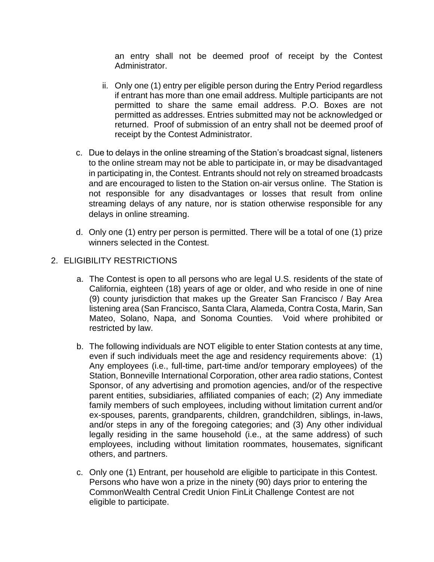an entry shall not be deemed proof of receipt by the Contest Administrator.

- ii. Only one (1) entry per eligible person during the Entry Period regardless if entrant has more than one email address. Multiple participants are not permitted to share the same email address. P.O. Boxes are not permitted as addresses. Entries submitted may not be acknowledged or returned. Proof of submission of an entry shall not be deemed proof of receipt by the Contest Administrator.
- c. Due to delays in the online streaming of the Station's broadcast signal, listeners to the online stream may not be able to participate in, or may be disadvantaged in participating in, the Contest. Entrants should not rely on streamed broadcasts and are encouraged to listen to the Station on-air versus online. The Station is not responsible for any disadvantages or losses that result from online streaming delays of any nature, nor is station otherwise responsible for any delays in online streaming.
- d. Only one (1) entry per person is permitted. There will be a total of one (1) prize winners selected in the Contest.
- 2. ELIGIBILITY RESTRICTIONS
	- a. The Contest is open to all persons who are legal U.S. residents of the state of California, eighteen (18) years of age or older, and who reside in one of nine (9) county jurisdiction that makes up the Greater San Francisco / Bay Area listening area (San Francisco, Santa Clara, Alameda, Contra Costa, Marin, San Mateo, Solano, Napa, and Sonoma Counties. Void where prohibited or restricted by law.
	- b. The following individuals are NOT eligible to enter Station contests at any time, even if such individuals meet the age and residency requirements above: (1) Any employees (i.e., full-time, part-time and/or temporary employees) of the Station, Bonneville International Corporation, other area radio stations, Contest Sponsor, of any advertising and promotion agencies, and/or of the respective parent entities, subsidiaries, affiliated companies of each; (2) Any immediate family members of such employees, including without limitation current and/or ex-spouses, parents, grandparents, children, grandchildren, siblings, in-laws, and/or steps in any of the foregoing categories; and (3) Any other individual legally residing in the same household (i.e., at the same address) of such employees, including without limitation roommates, housemates, significant others, and partners.
	- c. Only one (1) Entrant, per household are eligible to participate in this Contest. Persons who have won a prize in the ninety (90) days prior to entering the CommonWealth Central Credit Union FinLit Challenge Contest are not eligible to participate.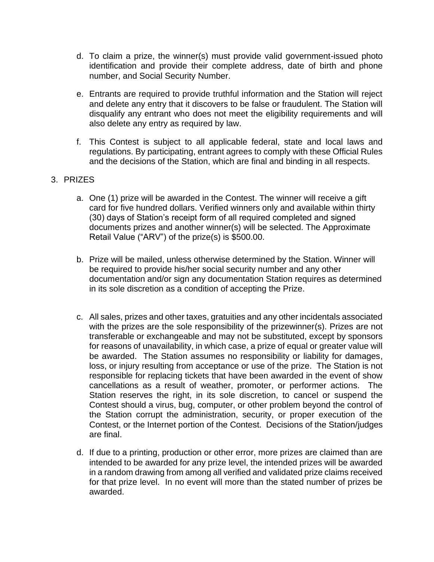- d. To claim a prize, the winner(s) must provide valid government-issued photo identification and provide their complete address, date of birth and phone number, and Social Security Number.
- e. Entrants are required to provide truthful information and the Station will reject and delete any entry that it discovers to be false or fraudulent. The Station will disqualify any entrant who does not meet the eligibility requirements and will also delete any entry as required by law.
- f. This Contest is subject to all applicable federal, state and local laws and regulations. By participating, entrant agrees to comply with these Official Rules and the decisions of the Station, which are final and binding in all respects.

# 3. PRIZES

- a. One (1) prize will be awarded in the Contest. The winner will receive a gift card for five hundred dollars. Verified winners only and available within thirty (30) days of Station's receipt form of all required completed and signed documents prizes and another winner(s) will be selected. The Approximate Retail Value ("ARV") of the prize(s) is \$500.00.
- b. Prize will be mailed, unless otherwise determined by the Station. Winner will be required to provide his/her social security number and any other documentation and/or sign any documentation Station requires as determined in its sole discretion as a condition of accepting the Prize.
- c. All sales, prizes and other taxes, gratuities and any other incidentals associated with the prizes are the sole responsibility of the prizewinner(s). Prizes are not transferable or exchangeable and may not be substituted, except by sponsors for reasons of unavailability, in which case, a prize of equal or greater value will be awarded. The Station assumes no responsibility or liability for damages, loss, or injury resulting from acceptance or use of the prize. The Station is not responsible for replacing tickets that have been awarded in the event of show cancellations as a result of weather, promoter, or performer actions. The Station reserves the right, in its sole discretion, to cancel or suspend the Contest should a virus, bug, computer, or other problem beyond the control of the Station corrupt the administration, security, or proper execution of the Contest, or the Internet portion of the Contest. Decisions of the Station/judges are final.
- d. If due to a printing, production or other error, more prizes are claimed than are intended to be awarded for any prize level, the intended prizes will be awarded in a random drawing from among all verified and validated prize claims received for that prize level. In no event will more than the stated number of prizes be awarded.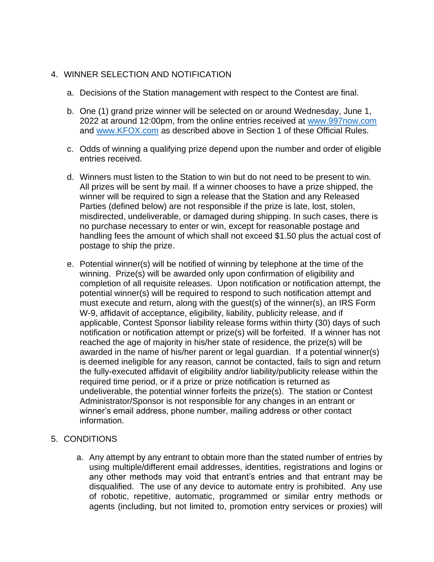# 4. WINNER SELECTION AND NOTIFICATION

- a. Decisions of the Station management with respect to the Contest are final.
- b. One (1) grand prize winner will be selected on or around Wednesday, June 1, 2022 at around 12:00pm, from the online entries received at [www.997now.com](http://www.997now.com/) and [www.KFOX.com](http://www.kfox.com/) as described above in Section 1 of these Official Rules.
- c. Odds of winning a qualifying prize depend upon the number and order of eligible entries received.
- d. Winners must listen to the Station to win but do not need to be present to win. All prizes will be sent by mail. If a winner chooses to have a prize shipped, the winner will be required to sign a release that the Station and any Released Parties (defined below) are not responsible if the prize is late, lost, stolen, misdirected, undeliverable, or damaged during shipping. In such cases, there is no purchase necessary to enter or win, except for reasonable postage and handling fees the amount of which shall not exceed \$1.50 plus the actual cost of postage to ship the prize.
- e. Potential winner(s) will be notified of winning by telephone at the time of the winning. Prize(s) will be awarded only upon confirmation of eligibility and completion of all requisite releases. Upon notification or notification attempt, the potential winner(s) will be required to respond to such notification attempt and must execute and return, along with the guest(s) of the winner(s), an IRS Form W-9, affidavit of acceptance, eligibility, liability, publicity release, and if applicable, Contest Sponsor liability release forms within thirty (30) days of such notification or notification attempt or prize(s) will be forfeited. If a winner has not reached the age of majority in his/her state of residence, the prize(s) will be awarded in the name of his/her parent or legal guardian. If a potential winner(s) is deemed ineligible for any reason, cannot be contacted, fails to sign and return the fully-executed affidavit of eligibility and/or liability/publicity release within the required time period, or if a prize or prize notification is returned as undeliverable, the potential winner forfeits the prize(s). The station or Contest Administrator/Sponsor is not responsible for any changes in an entrant or winner's email address, phone number, mailing address or other contact information.
- 5. CONDITIONS
	- a. Any attempt by any entrant to obtain more than the stated number of entries by using multiple/different email addresses, identities, registrations and logins or any other methods may void that entrant's entries and that entrant may be disqualified. The use of any device to automate entry is prohibited. Any use of robotic, repetitive, automatic, programmed or similar entry methods or agents (including, but not limited to, promotion entry services or proxies) will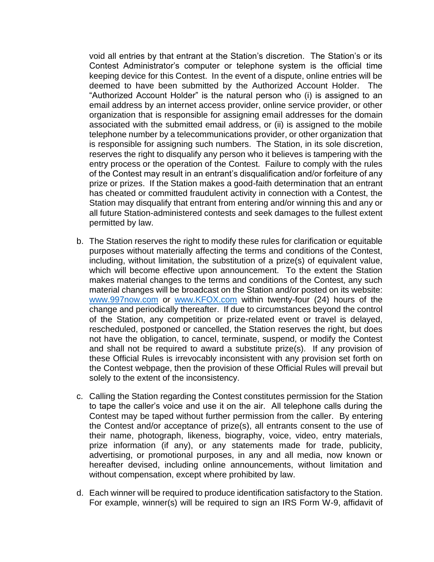void all entries by that entrant at the Station's discretion. The Station's or its Contest Administrator's computer or telephone system is the official time keeping device for this Contest. In the event of a dispute, online entries will be deemed to have been submitted by the Authorized Account Holder. The "Authorized Account Holder" is the natural person who (i) is assigned to an email address by an internet access provider, online service provider, or other organization that is responsible for assigning email addresses for the domain associated with the submitted email address, or (ii) is assigned to the mobile telephone number by a telecommunications provider, or other organization that is responsible for assigning such numbers. The Station, in its sole discretion, reserves the right to disqualify any person who it believes is tampering with the entry process or the operation of the Contest. Failure to comply with the rules of the Contest may result in an entrant's disqualification and/or forfeiture of any prize or prizes. If the Station makes a good-faith determination that an entrant has cheated or committed fraudulent activity in connection with a Contest, the Station may disqualify that entrant from entering and/or winning this and any or all future Station-administered contests and seek damages to the fullest extent permitted by law.

- b. The Station reserves the right to modify these rules for clarification or equitable purposes without materially affecting the terms and conditions of the Contest, including, without limitation, the substitution of a prize(s) of equivalent value, which will become effective upon announcement. To the extent the Station makes material changes to the terms and conditions of the Contest, any such material changes will be broadcast on the Station and/or posted on its website: [www.997now.com](http://www.997now.com/) or [www.KFOX.com](http://www.kfox.com/) within twenty-four (24) hours of the change and periodically thereafter. If due to circumstances beyond the control of the Station, any competition or prize-related event or travel is delayed, rescheduled, postponed or cancelled, the Station reserves the right, but does not have the obligation, to cancel, terminate, suspend, or modify the Contest and shall not be required to award a substitute prize(s). If any provision of these Official Rules is irrevocably inconsistent with any provision set forth on the Contest webpage, then the provision of these Official Rules will prevail but solely to the extent of the inconsistency.
- c. Calling the Station regarding the Contest constitutes permission for the Station to tape the caller's voice and use it on the air. All telephone calls during the Contest may be taped without further permission from the caller. By entering the Contest and/or acceptance of prize(s), all entrants consent to the use of their name, photograph, likeness, biography, voice, video, entry materials, prize information (if any), or any statements made for trade, publicity, advertising, or promotional purposes, in any and all media, now known or hereafter devised, including online announcements, without limitation and without compensation, except where prohibited by law.
- d. Each winner will be required to produce identification satisfactory to the Station. For example, winner(s) will be required to sign an IRS Form W-9, affidavit of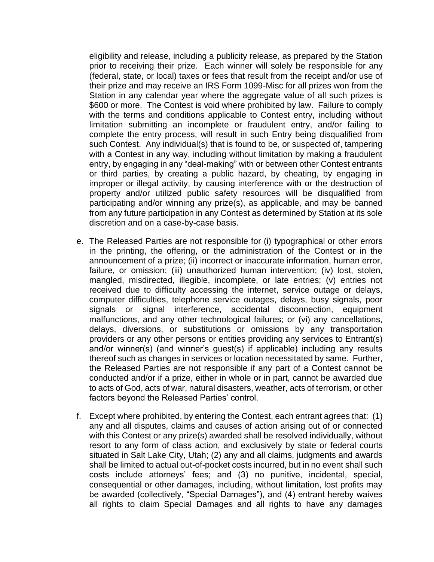eligibility and release, including a publicity release, as prepared by the Station prior to receiving their prize. Each winner will solely be responsible for any (federal, state, or local) taxes or fees that result from the receipt and/or use of their prize and may receive an IRS Form 1099-Misc for all prizes won from the Station in any calendar year where the aggregate value of all such prizes is \$600 or more. The Contest is void where prohibited by law. Failure to comply with the terms and conditions applicable to Contest entry, including without limitation submitting an incomplete or fraudulent entry, and/or failing to complete the entry process, will result in such Entry being disqualified from such Contest. Any individual(s) that is found to be, or suspected of, tampering with a Contest in any way, including without limitation by making a fraudulent entry, by engaging in any "deal-making" with or between other Contest entrants or third parties, by creating a public hazard, by cheating, by engaging in improper or illegal activity, by causing interference with or the destruction of property and/or utilized public safety resources will be disqualified from participating and/or winning any prize(s), as applicable, and may be banned from any future participation in any Contest as determined by Station at its sole discretion and on a case-by-case basis.

- e. The Released Parties are not responsible for (i) typographical or other errors in the printing, the offering, or the administration of the Contest or in the announcement of a prize; (ii) incorrect or inaccurate information, human error, failure, or omission; (iii) unauthorized human intervention; (iv) lost, stolen, mangled, misdirected, illegible, incomplete, or late entries; (v) entries not received due to difficulty accessing the internet, service outage or delays, computer difficulties, telephone service outages, delays, busy signals, poor signals or signal interference, accidental disconnection, equipment malfunctions, and any other technological failures; or (vi) any cancellations, delays, diversions, or substitutions or omissions by any transportation providers or any other persons or entities providing any services to Entrant(s) and/or winner(s) (and winner's guest(s) if applicable) including any results thereof such as changes in services or location necessitated by same. Further, the Released Parties are not responsible if any part of a Contest cannot be conducted and/or if a prize, either in whole or in part, cannot be awarded due to acts of God, acts of war, natural disasters, weather, acts of terrorism, or other factors beyond the Released Parties' control.
- f. Except where prohibited, by entering the Contest, each entrant agrees that: (1) any and all disputes, claims and causes of action arising out of or connected with this Contest or any prize(s) awarded shall be resolved individually, without resort to any form of class action, and exclusively by state or federal courts situated in Salt Lake City, Utah; (2) any and all claims, judgments and awards shall be limited to actual out-of-pocket costs incurred, but in no event shall such costs include attorneys' fees; and (3) no punitive, incidental, special, consequential or other damages, including, without limitation, lost profits may be awarded (collectively, "Special Damages"), and (4) entrant hereby waives all rights to claim Special Damages and all rights to have any damages